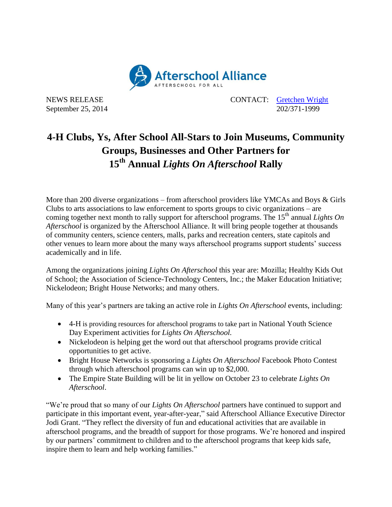

NEWS RELEASE CONTACT: [Gretchen Wright](mailto:gretchen@prsolutionsdc.com) September 25, 2014 202/371-1999

## **4-H Clubs, Ys, After School All-Stars to Join Museums, Community Groups, Businesses and Other Partners for 15th Annual** *Lights On Afterschool* **Rally**

More than 200 diverse organizations – from afterschool providers like YMCAs and Boys & Girls Clubs to arts associations to law enforcement to sports groups to civic organizations – are coming together next month to rally support for afterschool programs. The 15<sup>th</sup> annual *Lights On Afterschool* is organized by the Afterschool Alliance. It will bring people together at thousands of community centers, science centers, malls, parks and recreation centers, state capitols and other venues to learn more about the many ways afterschool programs support students' success academically and in life.

Among the organizations joining *Lights On Afterschool* this year are: Mozilla; Healthy Kids Out of School; the Association of Science-Technology Centers, Inc.; the Maker Education Initiative; Nickelodeon; Bright House Networks; and many others.

Many of this year's partners are taking an active role in *Lights On Afterschool* events, including:

- 4-H is providing resources for afterschool programs to take part in National Youth Science Day Experiment activities for *Lights On Afterschool.*
- Nickelodeon is helping get the word out that afterschool programs provide critical opportunities to get active.
- Bright House Networks is sponsoring a *Lights On Afterschool* Facebook Photo Contest through which afterschool programs can win up to \$2,000.
- The Empire State Building will be lit in yellow on October 23 to celebrate *Lights On Afterschool*.

"We're proud that so many of our *Lights On Afterschool* partners have continued to support and participate in this important event, year-after-year," said Afterschool Alliance Executive Director Jodi Grant. "They reflect the diversity of fun and educational activities that are available in afterschool programs, and the breadth of support for those programs. We're honored and inspired by our partners' commitment to children and to the afterschool programs that keep kids safe, inspire them to learn and help working families."